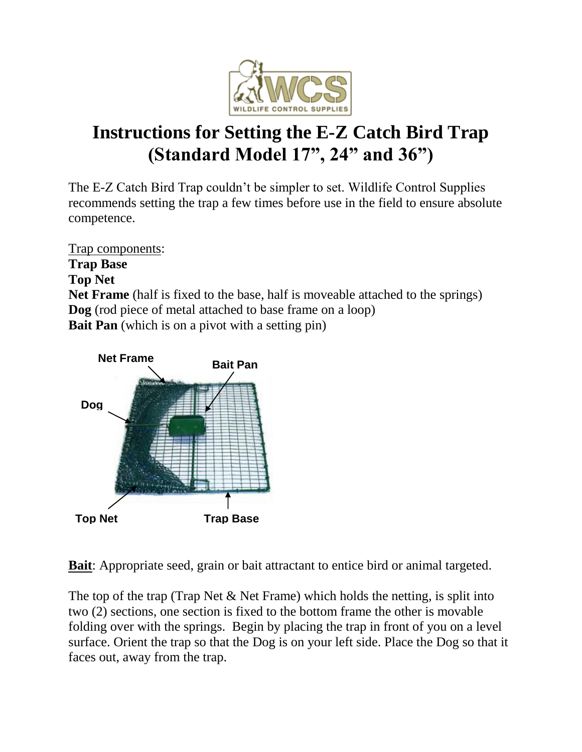

## **Instructions for Setting the E-Z Catch Bird Trap (Standard Model 17", 24" and 36")**

The E-Z Catch Bird Trap couldn't be simpler to set. Wildlife Control Supplies recommends setting the trap a few times before use in the field to ensure absolute competence.

Trap components: **Trap Base Top Net Net Frame** (half is fixed to the base, half is moveable attached to the springs) **Dog** (rod piece of metal attached to base frame on a loop) **Bait Pan** (which is on a pivot with a setting pin)



**Bait**: Appropriate seed, grain or bait attractant to entice bird or animal targeted.

The top of the trap (Trap Net & Net Frame) which holds the netting, is split into two (2) sections, one section is fixed to the bottom frame the other is movable folding over with the springs. Begin by placing the trap in front of you on a level surface. Orient the trap so that the Dog is on your left side. Place the Dog so that it faces out, away from the trap.